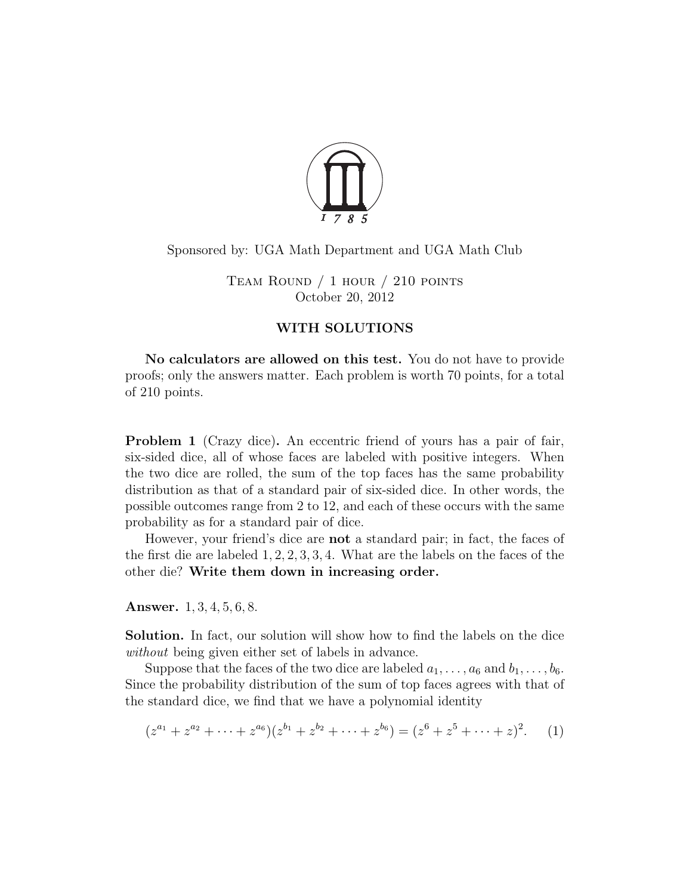

## Sponsored by: UGA Math Department and UGA Math Club

TEAM ROUND  $/ 1$  hour  $/ 210$  points October 20, 2012

## WITH SOLUTIONS

No calculators are allowed on this test. You do not have to provide proofs; only the answers matter. Each problem is worth 70 points, for a total of 210 points.

<span id="page-0-1"></span>Problem 1 (Crazy dice). An eccentric friend of yours has a pair of fair, six-sided dice, all of whose faces are labeled with positive integers. When the two dice are rolled, the sum of the top faces has the same probability distribution as that of a standard pair of six-sided dice. In other words, the possible outcomes range from 2 to 12, and each of these occurs with the same probability as for a standard pair of dice.

However, your friend's dice are not a standard pair; in fact, the faces of the first die are labeled 1, 2, 2, 3, 3, 4. What are the labels on the faces of the other die? Write them down in increasing order.

Answer. 1, 3, 4, 5, 6, 8.

Solution. In fact, our solution will show how to find the labels on the dice without being given either set of labels in advance.

Suppose that the faces of the two dice are labeled  $a_1, \ldots, a_6$  and  $b_1, \ldots, b_6$ . Since the probability distribution of the sum of top faces agrees with that of the standard dice, we find that we have a polynomial identity

<span id="page-0-0"></span>
$$
(z^{a_1} + z^{a_2} + \dots + z^{a_6})(z^{b_1} + z^{b_2} + \dots + z^{b_6}) = (z^6 + z^5 + \dots + z)^2.
$$
 (1)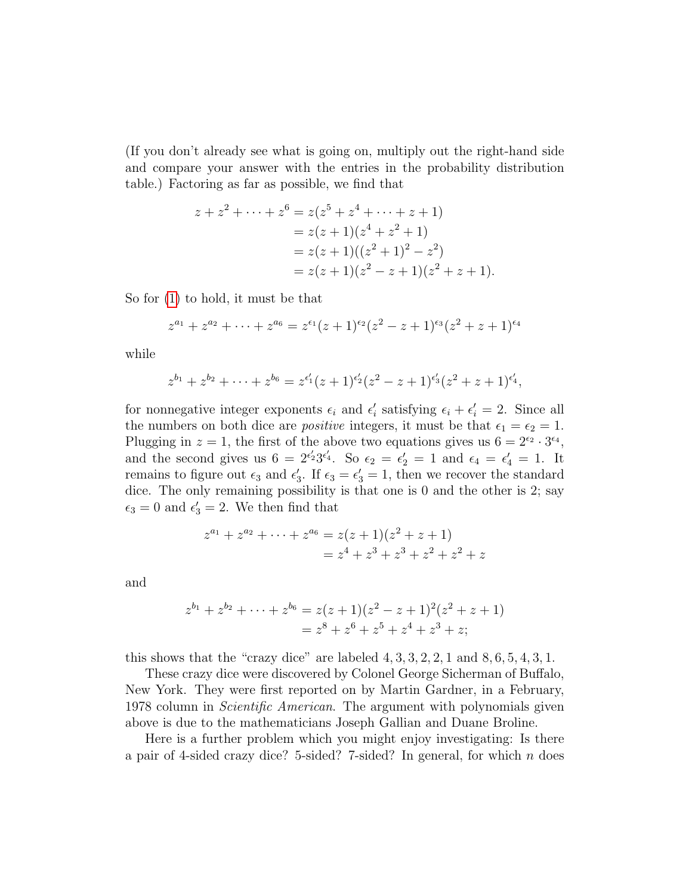(If you don't already see what is going on, multiply out the right-hand side and compare your answer with the entries in the probability distribution table.) Factoring as far as possible, we find that

$$
z + z2 + \dots + z6 = z(z5 + z4 + \dots + z + 1)
$$
  
= z(z + 1)(z<sup>4</sup> + z<sup>2</sup> + 1)  
= z(z + 1)((z<sup>2</sup> + 1)<sup>2</sup> - z<sup>2</sup>)  
= z(z + 1)(z<sup>2</sup> - z + 1)(z<sup>2</sup> + z + 1).

So for [\(1\)](#page-0-0) to hold, it must be that

$$
z^{a_1} + z^{a_2} + \dots + z^{a_6} = z^{\epsilon_1}(z+1)^{\epsilon_2}(z^2 - z + 1)^{\epsilon_3}(z^2 + z + 1)^{\epsilon_4}
$$

while

$$
z^{b_1} + z^{b_2} + \cdots + z^{b_6} = z^{\epsilon'_1}(z+1)^{\epsilon'_2}(z^2 - z + 1)^{\epsilon'_3}(z^2 + z + 1)^{\epsilon'_4},
$$

for nonnegative integer exponents  $\epsilon_i$  and  $\epsilon'_i$  satisfying  $\epsilon_i + \epsilon'_i = 2$ . Since all the numbers on both dice are *positive* integers, it must be that  $\epsilon_1 = \epsilon_2 = 1$ . Plugging in  $z = 1$ , the first of the above two equations gives us  $6 = 2^{\epsilon_2} \cdot 3^{\epsilon_4}$ , and the second gives us  $6 = 2^{\epsilon'_2} 3^{\epsilon'_4}$ . So  $\epsilon_2 = \epsilon'_2 = 1$  and  $\epsilon_4 = \epsilon'_4 = 1$ . It remains to figure out  $\epsilon_3$  and  $\epsilon'_3$ . If  $\epsilon_3 = \epsilon'_3 = 1$ , then we recover the standard dice. The only remaining possibility is that one is 0 and the other is 2; say  $\epsilon_3 = 0$  and  $\epsilon'_3 = 2$ . We then find that

$$
z^{a_1} + z^{a_2} + \dots + z^{a_6} = z(z+1)(z^2 + z + 1)
$$
  
=  $z^4 + z^3 + z^3 + z^2 + z^2 + z$ 

and

$$
z^{b_1} + z^{b_2} + \dots + z^{b_6} = z(z+1)(z^2 - z + 1)^2(z^2 + z + 1)
$$
  
=  $z^8 + z^6 + z^5 + z^4 + z^3 + z;$ 

this shows that the "crazy dice" are labeled  $4, 3, 3, 2, 2, 1$  and  $8, 6, 5, 4, 3, 1$ .

These crazy dice were discovered by Colonel George Sicherman of Buffalo, New York. They were first reported on by Martin Gardner, in a February, 1978 column in Scientific American. The argument with polynomials given above is due to the mathematicians Joseph Gallian and Duane Broline.

Here is a further problem which you might enjoy investigating: Is there a pair of 4-sided crazy dice? 5-sided? 7-sided? In general, for which  $n$  does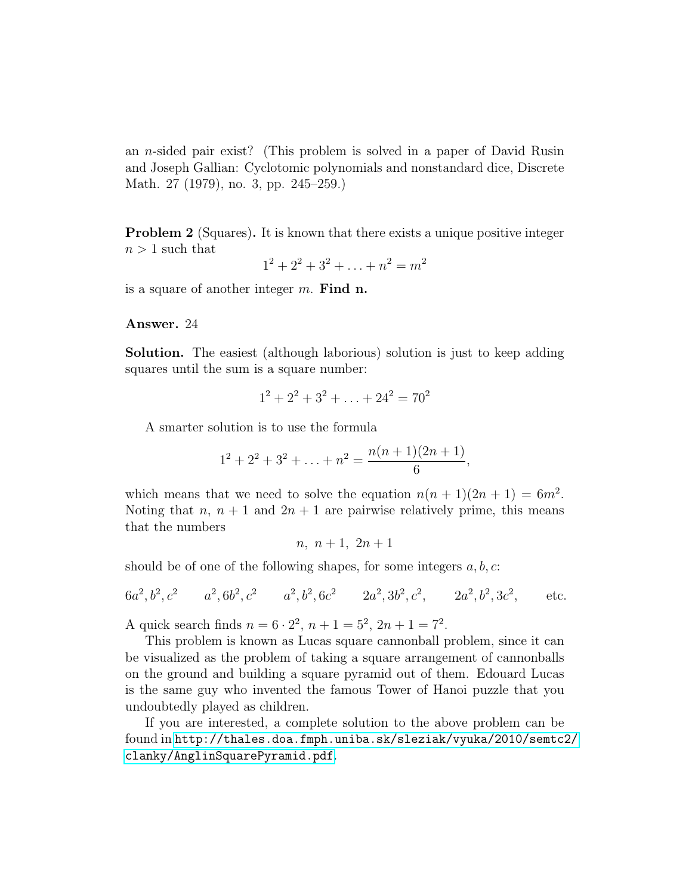an n-sided pair exist? (This problem is solved in a paper of David Rusin and Joseph Gallian: Cyclotomic polynomials and nonstandard dice, Discrete Math. 27 (1979), no. 3, pp. 245–259.)

<span id="page-2-0"></span>**Problem 2** (Squares). It is known that there exists a unique positive integer  $n > 1$  such that

$$
1^2 + 2^2 + 3^2 + \ldots + n^2 = m^2
$$

is a square of another integer  $m$ . Find n.

## Answer. 24

Solution. The easiest (although laborious) solution is just to keep adding squares until the sum is a square number:

$$
1^2 + 2^2 + 3^2 + \ldots + 24^2 = 70^2
$$

A smarter solution is to use the formula

$$
12 + 22 + 32 + ... + n2 = \frac{n(n + 1)(2n + 1)}{6},
$$

which means that we need to solve the equation  $n(n+1)(2n+1) = 6m^2$ . Noting that n,  $n + 1$  and  $2n + 1$  are pairwise relatively prime, this means that the numbers

$$
n, n+1, 2n+1
$$

should be of one of the following shapes, for some integers  $a, b, c$ :

$$
6a^2, b^2, c^2
$$
  $a^2, 6b^2, c^2$   $a^2, b^2, 6c^2$   $2a^2, 3b^2, c^2$ ,  $2a^2, b^2, 3c^2$ , etc.

A quick search finds  $n = 6 \cdot 2^2$ ,  $n + 1 = 5^2$ ,  $2n + 1 = 7^2$ .

This problem is known as Lucas square cannonball problem, since it can be visualized as the problem of taking a square arrangement of cannonballs on the ground and building a square pyramid out of them. Edouard Lucas is the same guy who invented the famous Tower of Hanoi puzzle that you undoubtedly played as children.

If you are interested, a complete solution to the above problem can be found in <http://thales.doa.fmph.uniba.sk/sleziak/vyuka/2010/semtc2/> <clanky/AnglinSquarePyramid.pdf>.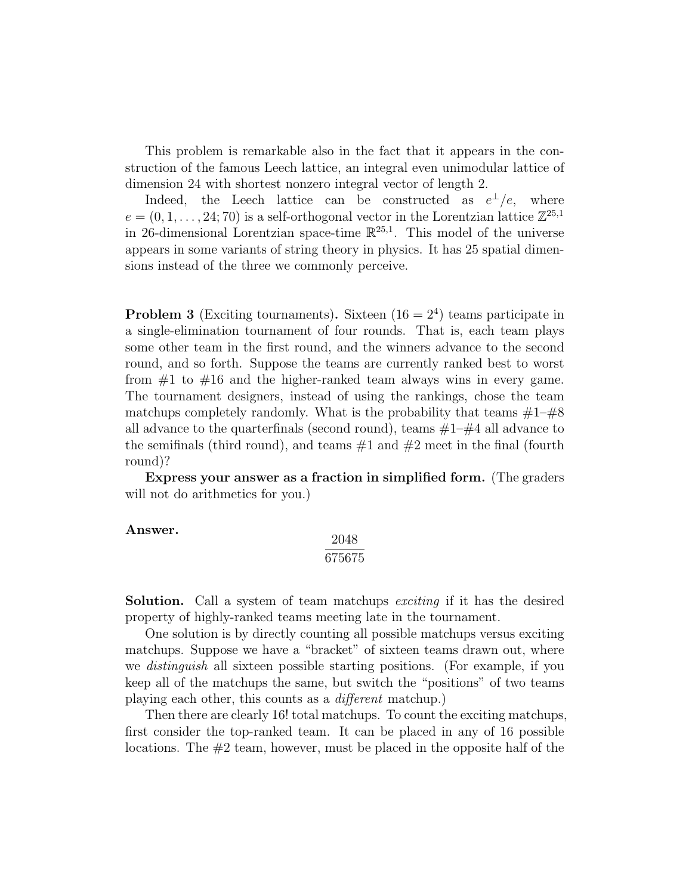This problem is remarkable also in the fact that it appears in the construction of the famous Leech lattice, an integral even unimodular lattice of dimension 24 with shortest nonzero integral vector of length 2.

Indeed, the Leech lattice can be constructed as  $e^{\perp}/e$ , where  $e = (0, 1, \ldots, 24, 70)$  is a self-orthogonal vector in the Lorentzian lattice  $\mathbb{Z}^{25,1}$ in 26-dimensional Lorentzian space-time  $\mathbb{R}^{25,1}$ . This model of the universe appears in some variants of string theory in physics. It has 25 spatial dimensions instead of the three we commonly perceive.

<span id="page-3-0"></span>**Problem 3** (Exciting tournaments). Sixteen  $(16 = 2<sup>4</sup>)$  teams participate in a single-elimination tournament of four rounds. That is, each team plays some other team in the first round, and the winners advance to the second round, and so forth. Suppose the teams are currently ranked best to worst from  $\#1$  to  $\#16$  and the higher-ranked team always wins in every game. The tournament designers, instead of using the rankings, chose the team matchups completely randomly. What is the probability that teams  $\#1-\#8$ all advance to the quarter finals (second round), teams  $#1-\#4$  all advance to the semifinals (third round), and teams  $#1$  and  $#2$  meet in the final (fourth round)?

Express your answer as a fraction in simplified form. (The graders will not do arithmetics for you.)

## Answer.

$$
\frac{2048}{675675}
$$

**Solution.** Call a system of team matchups *exciting* if it has the desired property of highly-ranked teams meeting late in the tournament.

One solution is by directly counting all possible matchups versus exciting matchups. Suppose we have a "bracket" of sixteen teams drawn out, where we distinguish all sixteen possible starting positions. (For example, if you keep all of the matchups the same, but switch the "positions" of two teams playing each other, this counts as a different matchup.)

Then there are clearly 16! total matchups. To count the exciting matchups, first consider the top-ranked team. It can be placed in any of 16 possible locations. The  $#2$  team, however, must be placed in the opposite half of the